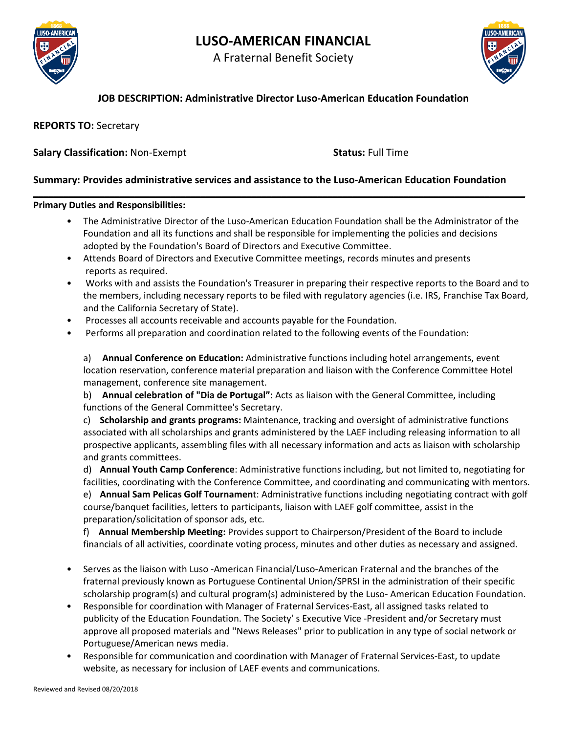

# **LUSO-AMERICAN FINANCIAL**

A Fraternal Benefit Society



# **JOB DESCRIPTION: Administrative Director Luso-American Education Foundation**

**REPORTS TO:** Secretary

## **Salary Classification:** Non-Exempt **Status:** Full Time

## **Summary: Provides administrative services and assistance to the Luso-American Education Foundation**

**\_\_\_\_\_\_\_\_\_\_\_\_\_\_\_\_\_\_\_\_\_\_\_\_\_\_\_\_\_\_\_\_\_\_\_\_\_\_\_\_\_\_\_\_\_\_\_\_\_\_\_\_\_\_\_\_\_\_\_\_\_\_\_\_\_\_\_\_\_\_\_\_\_\_\_\_\_\_\_\_\_\_\_\_\_\_\_\_\_\_\_\_\_\_\_\_\_**

#### **Primary Duties and Responsibilities:**

- The Administrative Director of the Luso-American Education Foundation shall be the Administrator of the Foundation and all its functions and shall be responsible for implementing the policies and decisions adopted by the Foundation's Board of Directors and Executive Committee.
- Attends Board of Directors and Executive Committee meetings, records minutes and presents reports as required.
- Works with and assists the Foundation's Treasurer in preparing their respective reports to the Board and to the members, including necessary reports to be filed with regulatory agencies (i.e. IRS, Franchise Tax Board, and the California Secretary of State).
- Processes all accounts receivable and accounts payable for the Foundation.
- Performs all preparation and coordination related to the following events of the Foundation:

a) **Annual Conference on Education:** Administrative functions including hotel arrangements, event location reservation, conference material preparation and liaison with the Conference Committee Hotel management, conference site management.

b) **Annual celebration of "Dia de Portugal":** Acts as liaison with the General Committee, including functions of the General Committee's Secretary.

c) **Scholarship and grants programs:** Maintenance, tracking and oversight of administrative functions associated with all scholarships and grants administered by the LAEF including releasing information to all prospective applicants, assembling files with all necessary information and acts as liaison with scholarship and grants committees.

d) **Annual Youth Camp Conference**: Administrative functions including, but not limited to, negotiating for facilities, coordinating with the Conference Committee, and coordinating and communicating with mentors. e) **Annual Sam Pelicas Golf Tournamen**t: Administrative functions including negotiating contract with golf course/banquet facilities, letters to participants, liaison with LAEF golf committee, assist in the

preparation/solicitation of sponsor ads, etc. f) **Annual Membership Meeting:** Provides support to Chairperson/President of the Board to include financials of all activities, coordinate voting process, minutes and other duties as necessary and assigned.

- Serves as the liaison with Luso -American Financial/Luso-American Fraternal and the branches of the fraternal previously known as Portuguese Continental Union/SPRSI in the administration of their specific scholarship program(s) and cultural program(s) administered by the Luso- American Education Foundation.
- Responsible for coordination with Manager of Fraternal Services-East, all assigned tasks related to publicity of the Education Foundation. The Society' s Executive Vice -President and/or Secretary must approve all proposed materials and ''News Releases" prior to publication in any type of social network or Portuguese/American news media.
- Responsible for communication and coordination with Manager of Fraternal Services-East, to update website, as necessary for inclusion of LAEF events and communications.